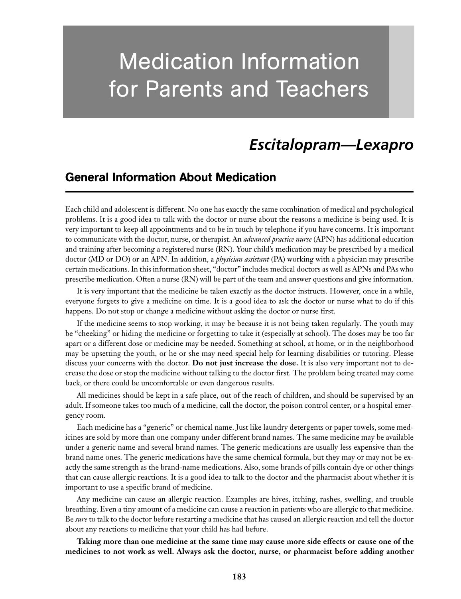# Medication Information for Parents and Teachers

# *Escitalopram—Lexapro*

## **General Information About Medication**

Each child and adolescent is different. No one has exactly the same combination of medical and psychological problems. It is a good idea to talk with the doctor or nurse about the reasons a medicine is being used. It is very important to keep all appointments and to be in touch by telephone if you have concerns. It is important to communicate with the doctor, nurse, or therapist. An *advanced practice nurse* (APN) has additional education and training after becoming a registered nurse (RN). Your child's medication may be prescribed by a medical doctor (MD or DO) or an APN. In addition, a *physician assistant* (PA) working with a physician may prescribe certain medications. In this information sheet, "doctor" includes medical doctors as well as APNs and PAs who prescribe medication. Often a nurse (RN) will be part of the team and answer questions and give information.

It is very important that the medicine be taken exactly as the doctor instructs. However, once in a while, everyone forgets to give a medicine on time. It is a good idea to ask the doctor or nurse what to do if this happens. Do not stop or change a medicine without asking the doctor or nurse first.

If the medicine seems to stop working, it may be because it is not being taken regularly. The youth may be "cheeking" or hiding the medicine or forgetting to take it (especially at school). The doses may be too far apart or a different dose or medicine may be needed. Something at school, at home, or in the neighborhood may be upsetting the youth, or he or she may need special help for learning disabilities or tutoring. Please discuss your concerns with the doctor. **Do not just increase the dose.** It is also very important not to decrease the dose or stop the medicine without talking to the doctor first. The problem being treated may come back, or there could be uncomfortable or even dangerous results.

All medicines should be kept in a safe place, out of the reach of children, and should be supervised by an adult. If someone takes too much of a medicine, call the doctor, the poison control center, or a hospital emergency room.

Each medicine has a "generic" or chemical name. Just like laundry detergents or paper towels, some medicines are sold by more than one company under different brand names. The same medicine may be available under a generic name and several brand names. The generic medications are usually less expensive than the brand name ones. The generic medications have the same chemical formula, but they may or may not be exactly the same strength as the brand-name medications. Also, some brands of pills contain dye or other things that can cause allergic reactions. It is a good idea to talk to the doctor and the pharmacist about whether it is important to use a specific brand of medicine.

Any medicine can cause an allergic reaction. Examples are hives, itching, rashes, swelling, and trouble breathing. Even a tiny amount of a medicine can cause a reaction in patients who are allergic to that medicine. Be *sure* to talk to the doctor before restarting a medicine that has caused an allergic reaction and tell the doctor about any reactions to medicine that your child has had before.

**Taking more than one medicine at the same time may cause more side effects or cause one of the medicines to not work as well. Always ask the doctor, nurse, or pharmacist before adding another**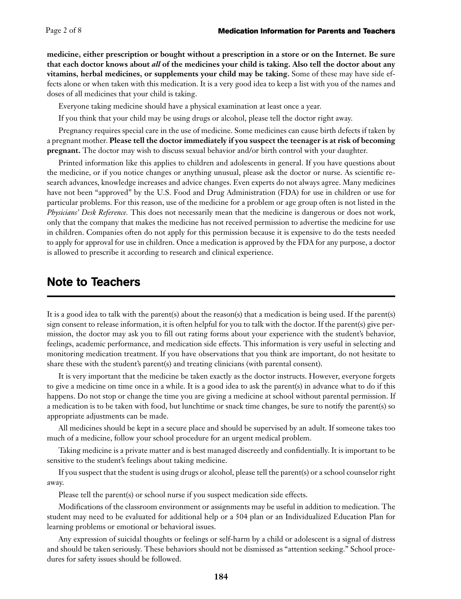**medicine, either prescription or bought without a prescription in a store or on the Internet. Be sure that each doctor knows about** *all* **of the medicines your child is taking. Also tell the doctor about any vitamins, herbal medicines, or supplements your child may be taking.** Some of these may have side effects alone or when taken with this medication. It is a very good idea to keep a list with you of the names and doses of all medicines that your child is taking.

Everyone taking medicine should have a physical examination at least once a year.

If you think that your child may be using drugs or alcohol, please tell the doctor right away.

Pregnancy requires special care in the use of medicine. Some medicines can cause birth defects if taken by a pregnant mother. **Please tell the doctor immediately if you suspect the teenager is at risk of becoming pregnant.** The doctor may wish to discuss sexual behavior and/or birth control with your daughter.

Printed information like this applies to children and adolescents in general. If you have questions about the medicine, or if you notice changes or anything unusual, please ask the doctor or nurse. As scientific research advances, knowledge increases and advice changes. Even experts do not always agree. Many medicines have not been "approved" by the U.S. Food and Drug Administration (FDA) for use in children or use for particular problems. For this reason, use of the medicine for a problem or age group often is not listed in the *Physicians' Desk Reference.* This does not necessarily mean that the medicine is dangerous or does not work, only that the company that makes the medicine has not received permission to advertise the medicine for use in children. Companies often do not apply for this permission because it is expensive to do the tests needed to apply for approval for use in children. Once a medication is approved by the FDA for any purpose, a doctor is allowed to prescribe it according to research and clinical experience.

#### **Note to Teachers**

It is a good idea to talk with the parent(s) about the reason(s) that a medication is being used. If the parent(s) sign consent to release information, it is often helpful for you to talk with the doctor. If the parent(s) give permission, the doctor may ask you to fill out rating forms about your experience with the student's behavior, feelings, academic performance, and medication side effects. This information is very useful in selecting and monitoring medication treatment. If you have observations that you think are important, do not hesitate to share these with the student's parent(s) and treating clinicians (with parental consent).

It is very important that the medicine be taken exactly as the doctor instructs. However, everyone forgets to give a medicine on time once in a while. It is a good idea to ask the parent(s) in advance what to do if this happens. Do not stop or change the time you are giving a medicine at school without parental permission. If a medication is to be taken with food, but lunchtime or snack time changes, be sure to notify the parent(s) so appropriate adjustments can be made.

All medicines should be kept in a secure place and should be supervised by an adult. If someone takes too much of a medicine, follow your school procedure for an urgent medical problem.

Taking medicine is a private matter and is best managed discreetly and confidentially. It is important to be sensitive to the student's feelings about taking medicine.

If you suspect that the student is using drugs or alcohol, please tell the parent(s) or a school counselor right away.

Please tell the parent(s) or school nurse if you suspect medication side effects.

Modifications of the classroom environment or assignments may be useful in addition to medication. The student may need to be evaluated for additional help or a 504 plan or an Individualized Education Plan for learning problems or emotional or behavioral issues.

Any expression of suicidal thoughts or feelings or self-harm by a child or adolescent is a signal of distress and should be taken seriously. These behaviors should not be dismissed as "attention seeking." School procedures for safety issues should be followed.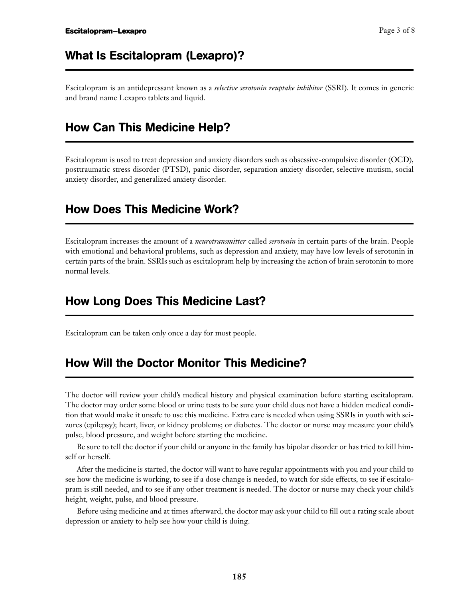## **What Is Escitalopram (Lexapro)?**

Escitalopram is an antidepressant known as a *selective serotonin reuptake inhibitor* (SSRI). It comes in generic and brand name Lexapro tablets and liquid.

## **How Can This Medicine Help?**

Escitalopram is used to treat depression and anxiety disorders such as obsessive-compulsive disorder (OCD), posttraumatic stress disorder (PTSD), panic disorder, separation anxiety disorder, selective mutism, social anxiety disorder, and generalized anxiety disorder.

## **How Does This Medicine Work?**

Escitalopram increases the amount of a *neurotransmitter* called *serotonin* in certain parts of the brain. People with emotional and behavioral problems, such as depression and anxiety, may have low levels of serotonin in certain parts of the brain. SSRIs such as escitalopram help by increasing the action of brain serotonin to more normal levels.

# **How Long Does This Medicine Last?**

Escitalopram can be taken only once a day for most people.

## **How Will the Doctor Monitor This Medicine?**

The doctor will review your child's medical history and physical examination before starting escitalopram. The doctor may order some blood or urine tests to be sure your child does not have a hidden medical condition that would make it unsafe to use this medicine. Extra care is needed when using SSRIs in youth with seizures (epilepsy); heart, liver, or kidney problems; or diabetes. The doctor or nurse may measure your child's pulse, blood pressure, and weight before starting the medicine.

Be sure to tell the doctor if your child or anyone in the family has bipolar disorder or has tried to kill himself or herself.

After the medicine is started, the doctor will want to have regular appointments with you and your child to see how the medicine is working, to see if a dose change is needed, to watch for side effects, to see if escitalopram is still needed, and to see if any other treatment is needed. The doctor or nurse may check your child's height, weight, pulse, and blood pressure.

Before using medicine and at times afterward, the doctor may ask your child to fill out a rating scale about depression or anxiety to help see how your child is doing.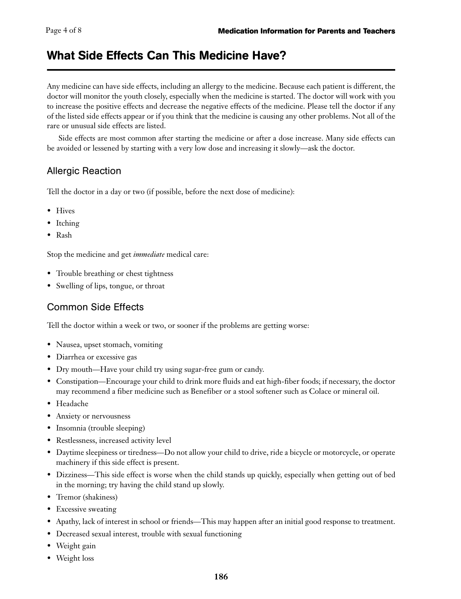# **What Side Effects Can This Medicine Have?**

Any medicine can have side effects, including an allergy to the medicine. Because each patient is different, the doctor will monitor the youth closely, especially when the medicine is started. The doctor will work with you to increase the positive effects and decrease the negative effects of the medicine. Please tell the doctor if any of the listed side effects appear or if you think that the medicine is causing any other problems. Not all of the rare or unusual side effects are listed.

Side effects are most common after starting the medicine or after a dose increase. Many side effects can be avoided or lessened by starting with a very low dose and increasing it slowly—ask the doctor.

## Allergic Reaction

Tell the doctor in a day or two (if possible, before the next dose of medicine):

- Hives
- Itching
- Rash

Stop the medicine and get *immediate* medical care:

- Trouble breathing or chest tightness
- Swelling of lips, tongue, or throat

## Common Side Effects

Tell the doctor within a week or two, or sooner if the problems are getting worse:

- Nausea, upset stomach, vomiting
- Diarrhea or excessive gas
- Dry mouth—Have your child try using sugar-free gum or candy.
- Constipation—Encourage your child to drink more fluids and eat high-fiber foods; if necessary, the doctor may recommend a fiber medicine such as Benefiber or a stool softener such as Colace or mineral oil.
- Headache
- Anxiety or nervousness
- Insomnia (trouble sleeping)
- Restlessness, increased activity level
- Daytime sleepiness or tiredness—Do not allow your child to drive, ride a bicycle or motorcycle, or operate machinery if this side effect is present.
- Dizziness—This side effect is worse when the child stands up quickly, especially when getting out of bed in the morning; try having the child stand up slowly.
- Tremor (shakiness)
- Excessive sweating
- Apathy, lack of interest in school or friends—This may happen after an initial good response to treatment.
- Decreased sexual interest, trouble with sexual functioning
- Weight gain
- Weight loss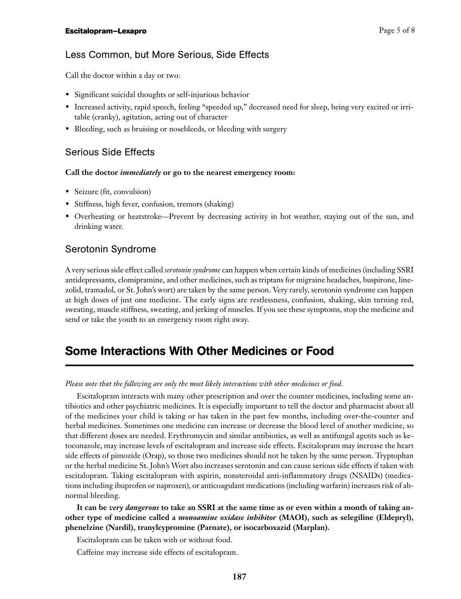#### Less Common, but More Serious, Side Effects

Call the doctor within a day or two:

- Significant suicidal thoughts or self-injurious behavior
- Increased activity, rapid speech, feeling "speeded up," decreased need for sleep, being very excited or irritable (cranky), agitation, acting out of character
- Bleeding, such as bruising or nosebleeds, or bleeding with surgery

#### Serious Side Effects

#### **Call the doctor** *immediately* **or go to the nearest emergency room:**

- Seizure (fit, convulsion)
- Stiffness, high fever, confusion, tremors (shaking)
- Overheating or heatstroke—Prevent by decreasing activity in hot weather, staying out of the sun, and drinking water.

#### Serotonin Syndrome

A very serious side effect called *serotonin syndrome* can happen when certain kinds of medicines (including SSRI antidepressants, clomipramine, and other medicines, such as triptans for migraine headaches, buspirone, linezolid, tramadol, or St. John's wort) are taken by the same person. Very rarely, serotonin syndrome can happen at high doses of just one medicine. The early signs are restlessness, confusion, shaking, skin turning red, sweating, muscle stiffness, sweating, and jerking of muscles. If you see these symptoms, stop the medicine and send or take the youth to an emergency room right away.

## **Some Interactions With Other Medicines or Food**

#### *Please note that the following are only the most likely interactions with other medicines or food.*

Escitalopram interacts with many other prescription and over the counter medicines, including some antibiotics and other psychiatric medicines. It is especially important to tell the doctor and pharmacist about all of the medicines your child is taking or has taken in the past few months, including over-the-counter and herbal medicines. Sometimes one medicine can increase or decrease the blood level of another medicine, so that different doses are needed. Erythromycin and similar antibiotics, as well as antifungal agents such as ketoconazole, may increase levels of escitalopram and increase side effects. Escitalopram may increase the heart side effects of pimozide (Orap), so those two medicines should not be taken by the same person. Tryptophan or the herbal medicine St. John's Wort also increases serotonin and can cause serious side effects if taken with escitalopram. Taking escitalopram with aspirin, nonsteroidal anti-inflammatory drugs (NSAIDs) (medications including ibuprofen or naproxen), or anticoagulant medications (including warfarin) increases risk of abnormal bleeding.

**It can be** *very dangerous* **to take an SSRI at the same time as or even within a month of taking another type of medicine called a** *monoamine oxidase inhibitor* **(MAOI), such as selegiline (Eldepryl), phenelzine (Nardil), tranylcypromine (Parnate), or isocarboxazid (Marplan).**

Escitalopram can be taken with or without food.

Caffeine may increase side effects of escitalopram.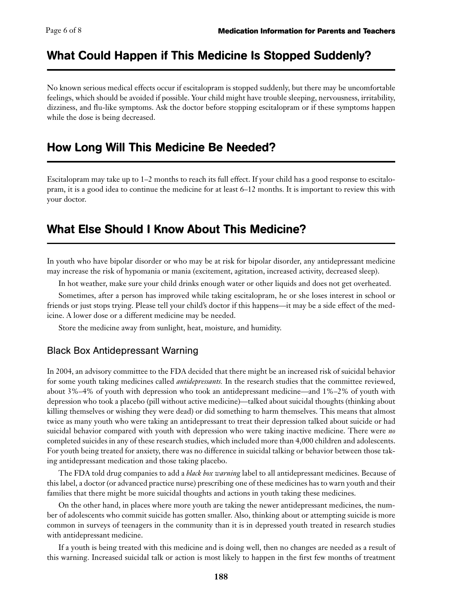## **What Could Happen if This Medicine Is Stopped Suddenly?**

No known serious medical effects occur if escitalopram is stopped suddenly, but there may be uncomfortable feelings, which should be avoided if possible. Your child might have trouble sleeping, nervousness, irritability, dizziness, and flu-like symptoms. Ask the doctor before stopping escitalopram or if these symptoms happen while the dose is being decreased.

## **How Long Will This Medicine Be Needed?**

Escitalopram may take up to 1–2 months to reach its full effect. If your child has a good response to escitalopram, it is a good idea to continue the medicine for at least 6–12 months. It is important to review this with your doctor.

## **What Else Should I Know About This Medicine?**

In youth who have bipolar disorder or who may be at risk for bipolar disorder, any antidepressant medicine may increase the risk of hypomania or mania (excitement, agitation, increased activity, decreased sleep).

In hot weather, make sure your child drinks enough water or other liquids and does not get overheated.

Sometimes, after a person has improved while taking escitalopram, he or she loses interest in school or friends or just stops trying. Please tell your child's doctor if this happens—it may be a side effect of the medicine. A lower dose or a different medicine may be needed.

Store the medicine away from sunlight, heat, moisture, and humidity.

#### Black Box Antidepressant Warning

In 2004, an advisory committee to the FDA decided that there might be an increased risk of suicidal behavior for some youth taking medicines called *antidepressants.* In the research studies that the committee reviewed, about 3%–4% of youth with depression who took an antidepressant medicine—and 1%–2% of youth with depression who took a placebo (pill without active medicine)—talked about suicidal thoughts (thinking about killing themselves or wishing they were dead) or did something to harm themselves. This means that almost twice as many youth who were taking an antidepressant to treat their depression talked about suicide or had suicidal behavior compared with youth with depression who were taking inactive medicine. There were *no* completed suicides in any of these research studies, which included more than 4,000 children and adolescents. For youth being treated for anxiety, there was no difference in suicidal talking or behavior between those taking antidepressant medication and those taking placebo.

The FDA told drug companies to add a *black box warning* label to all antidepressant medicines. Because of this label, a doctor (or advanced practice nurse) prescribing one of these medicines has to warn youth and their families that there might be more suicidal thoughts and actions in youth taking these medicines.

On the other hand, in places where more youth are taking the newer antidepressant medicines, the number of adolescents who commit suicide has gotten smaller. Also, thinking about or attempting suicide is more common in surveys of teenagers in the community than it is in depressed youth treated in research studies with antidepressant medicine.

If a youth is being treated with this medicine and is doing well, then no changes are needed as a result of this warning. Increased suicidal talk or action is most likely to happen in the first few months of treatment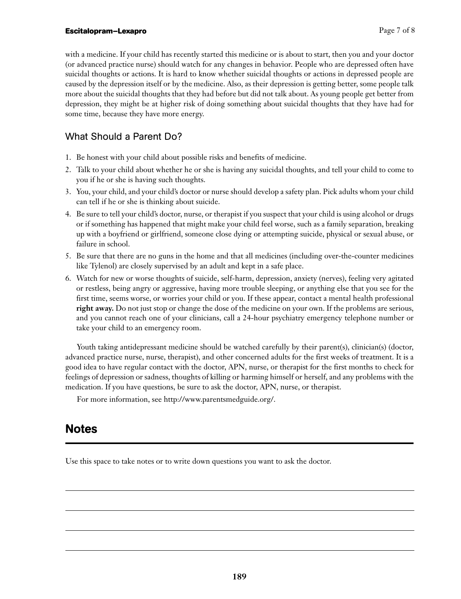#### **Escitalopram—Lexapro**

with a medicine. If your child has recently started this medicine or is about to start, then you and your doctor (or advanced practice nurse) should watch for any changes in behavior. People who are depressed often have suicidal thoughts or actions. It is hard to know whether suicidal thoughts or actions in depressed people are caused by the depression itself or by the medicine. Also, as their depression is getting better, some people talk more about the suicidal thoughts that they had before but did not talk about. As young people get better from depression, they might be at higher risk of doing something about suicidal thoughts that they have had for some time, because they have more energy.

## What Should a Parent Do?

- 1. Be honest with your child about possible risks and benefits of medicine.
- 2. Talk to your child about whether he or she is having any suicidal thoughts, and tell your child to come to you if he or she is having such thoughts.
- 3. You, your child, and your child's doctor or nurse should develop a safety plan. Pick adults whom your child can tell if he or she is thinking about suicide.
- 4. Be sure to tell your child's doctor, nurse, or therapist if you suspect that your child is using alcohol or drugs or if something has happened that might make your child feel worse, such as a family separation, breaking up with a boyfriend or girlfriend, someone close dying or attempting suicide, physical or sexual abuse, or failure in school.
- 5. Be sure that there are no guns in the home and that all medicines (including over-the-counter medicines like Tylenol) are closely supervised by an adult and kept in a safe place.
- 6. Watch for new or worse thoughts of suicide, self-harm, depression, anxiety (nerves), feeling very agitated or restless, being angry or aggressive, having more trouble sleeping, or anything else that you see for the first time, seems worse, or worries your child or you. If these appear, contact a mental health professional **right away.** Do not just stop or change the dose of the medicine on your own. If the problems are serious, and you cannot reach one of your clinicians, call a 24-hour psychiatry emergency telephone number or take your child to an emergency room.

Youth taking antidepressant medicine should be watched carefully by their parent(s), clinician(s) (doctor, advanced practice nurse, nurse, therapist), and other concerned adults for the first weeks of treatment. It is a good idea to have regular contact with the doctor, APN, nurse, or therapist for the first months to check for feelings of depression or sadness, thoughts of killing or harming himself or herself, and any problems with the medication. If you have questions, be sure to ask the doctor, APN, nurse, or therapist.

For more information, see http://www.parentsmedguide.org/.

## **Notes**

Use this space to take notes or to write down questions you want to ask the doctor.